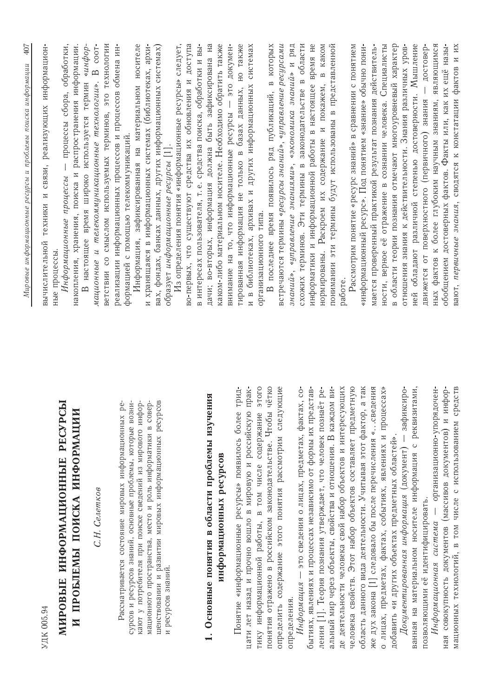|                                                                                                                                                                                                          | 407<br>Мировые информационные ресурсы и проблемы поиска информации                                                                                                |
|----------------------------------------------------------------------------------------------------------------------------------------------------------------------------------------------------------|-------------------------------------------------------------------------------------------------------------------------------------------------------------------|
| УДК 005.94                                                                                                                                                                                               | информацион-<br>связи, реализующих<br>техники и<br>вычислительной                                                                                                 |
| МИРОВЫЕ ИНФОРМАЦИОННЫЕ РЕСУРСЫ                                                                                                                                                                           | Информационные процессы - процессы сбора, обработки,<br>ные процессы.                                                                                             |
| И ПРОБЛЕМЫ ПОИСКА ИНФОРМАЦИИ                                                                                                                                                                             | чинфор-<br>накопления, хранения, поиска и распространения информации<br>настоящее время широко используется термин                                                |
| С.Н. Селетков                                                                                                                                                                                            | ветствии со смыслом используемых терминов, это технологии<br><b>B</b> coot-<br>мационные и телекоммуникационные технологии».                                      |
| сурсов и ресурсов знаний, основные проблемы, которые возни-<br>pe<br>Рассматривается состояние мировых информационных                                                                                    | Информация, зафиксированная на материальном носителе<br>реализации информационных процессов и процессов обмена ин-<br>формацией с помощью телекоммуникаций.       |
| шенствовании и развитии мировых информационных ресурсов<br>кают у потребителя при поиске сведений из мирового инфор-<br>мационного пространства, место и роль информатики в совер-<br>и ресурсов знаний. | и хранящаяся в информационных системах (библиотеках, архи-<br>вах, фондах, банках данных, других информационных системах)<br>образует информационные ресурсы [1]. |
|                                                                                                                                                                                                          | Из определения понятия «информационные ресурсы» следует,<br>во-первых, что существуют средства их обновления и доступа                                            |
| 1. Основные понятия в области проблемы изучения                                                                                                                                                          | $BbI$ -<br>дачи; во-вторых, информация должна быть зафиксирована на<br>в интересах пользователя, т.е. средства поиска, обработки и                                |
| информационных ресурсов                                                                                                                                                                                  | каком-либо материальном носителе. Необходимо обратить также                                                                                                       |
|                                                                                                                                                                                                          | - это докумен-<br>внимание на то, что информационные ресурсы                                                                                                      |
| трид-<br>прак-<br>Понятие «информационные ресурсы» появилось более<br>цати лет назад и прочно вошло в мировую и российскую                                                                               | тированная информация не только в базах данных, но также<br>и в библиотеках, архивах и других информационных системах                                             |
| ЭТОГО<br>тику информационной работы, в том числе содержание                                                                                                                                              | организационного типа.                                                                                                                                            |
| чётко<br>понятия отражено в российском законодательстве. Чтобы                                                                                                                                           | которых<br>последнее время появилось ряд публикаций, в                                                                                                            |
| ющие<br>определить содержание этого понятия рассмотрим следу                                                                                                                                             | встречаются термины <i>«ресурсы знаний», «управление ресурсами</i>                                                                                                |
| Информация - это сведения о лицах, предметах, фактах, со-<br>определения.                                                                                                                                | знаний», «управление знаниями», «экономика знаний» и ряд                                                                                                          |
| бытиях, явлениях и процессах независимо от формы их представ-                                                                                                                                            | законодательстве в области<br>информатики и информационной работы в настоящее время не<br>схожих терминов. Эти термины в                                          |
| ления [1]. Теория познания утверждает, что человек познаёт ре-                                                                                                                                           | нормированы. Раскроем их содержание и покажем, в каком                                                                                                            |
| де деятельности человека свой набор объектов и интересующих<br>альный мир через объекты, свойства и отношения. В каждом ви-                                                                              | понимании эти термины будут использованы в представленной<br>работе.                                                                                              |
| человека свойств. Этот набор объектов составляет предметную                                                                                                                                              | Рассмотрим понятие «ресурс знаний» в сравнении с понятием                                                                                                         |
| а так<br>же дух закона [1] следовало бы после перечисления «сведения<br>область данного вида деятельности. Учитывая этот фактор,                                                                         | «информационный ресурс». Под понятием «знание» обычно пони-<br>мается проверенный практикой результат познания действитель-                                       |
| о лицах, предметах, фактах, событиях, явлениях и процессах»                                                                                                                                              | ности, верное её отражение в сознании человека. Специалисты                                                                                                       |
| добавить «и других объектах предметных областей».                                                                                                                                                        | в области теории познания отмечают многоуровневый характер                                                                                                        |
| ванная на материальном носителе информация с реквизитами,<br>Документированная информация (документ) - зафиксиро-                                                                                        | обладают различной степенью достоверности. Мышление<br>отношения знания к действительности. Знания различных уров-<br>ней                                         |
| позволяющими её идентифицировать.                                                                                                                                                                        | достовер-<br>движется от поверхностного (первичного) знания                                                                                                       |
| - организационно-упорядочен-<br>ная совокупность документов (массивов документов) и инфор-<br>Информационная система                                                                                     | ных фактов к более глубоким научным знаниям, являющимся<br>обобщением достоверных фактов. Факты или, как их ещё назы-                                             |
| мационных технологий, в том числе с использованием средств                                                                                                                                               | вают, первичные знания, сводятся к констатации фактов и их                                                                                                        |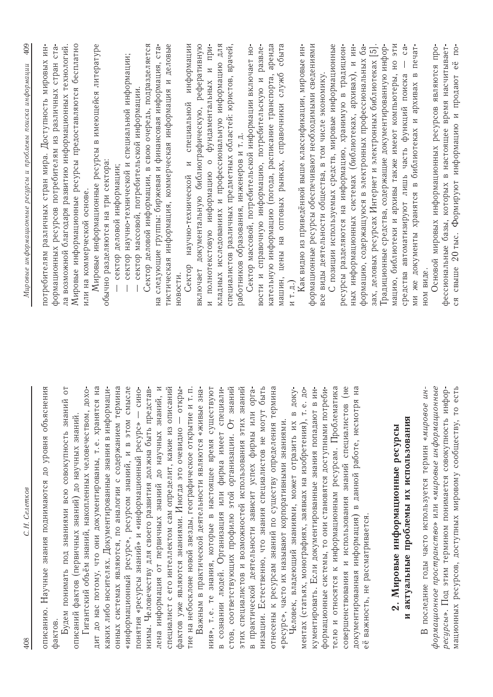| С.Н. Селетков<br>408                                                                                                      | 409<br>Мировые информационные ресурсы и проблемы поиска информации                                                                  |
|---------------------------------------------------------------------------------------------------------------------------|-------------------------------------------------------------------------------------------------------------------------------------|
| ения<br>описанию. Научные знания поднимаются до уровня объясн<br>фактов.                                                  | формационных ресурсов потребителям из различных стран ста-<br>НН-<br>потребителям различных стран мира. Доступность мировых         |
| $\overline{C}$<br>Ņ<br>Будем понимать под знаниями всю совокупность знани                                                 | ла возможной благодаря развитию информационных технологий.                                                                          |
| Гигантский объём знаний, накопленных человечеством, дохо-<br>описаний фактов (первичных знаний) до научных знаний.        | Мировые информационные ресурсы предоставляются бесплатно<br>или на коммерческой основе.                                             |
| дит до нас потому, что они документированы, т.е. хранятся на                                                              | Мировые информационные ресурсы в имеющейся литературе                                                                               |
| каких либо носителях. Документированные знания в информаци-                                                               | обычно разделяются на три сектора:                                                                                                  |
| «информационный ресурс», ресурсом знаний, и в этом смысле<br>онных системах являются, по аналогии с содержанием термина   | сектор научно-технической и специальной информации;<br>сектор деловой информации;                                                   |
| понятия «ресурсы знаний» и «информационный ресурс» - сино-                                                                | сектор массовой, потребительской информации.                                                                                        |
| нимы. Человечеству для своего развития должна быть представ-                                                              | Сектор деловой информации, в свою очередь, подразделяется                                                                           |
| лена информация от первичных знаний до научных знаний, и<br>специалист с его интеллектом сам определит, какие из описаний | деловые<br>следующие группы: биржевая и финансовая информация, ста-<br>тистическая информация, коммерческая информация и<br>Нã      |
| фактов уже являются знаниями. Иногда это очевидно - откры-                                                                | НОВОСТИ.                                                                                                                            |
| т. п.<br>тие на небосклоне новой звезды, географическое открытие и                                                        | информации<br>и специальной<br>Сектор научно-технической                                                                            |
| 3Ha<br>Важным в практической деятельности являются «живые                                                                 | реферативную<br>документальную библиографическую,<br>включает                                                                       |
| ния», т.е. те знания, которые в настоящее время существуют                                                                | фундаментальных и при-<br>и полнотекстовую информацию о                                                                             |
| в сознании людей. Организация или фирма имеет специали-                                                                   | кладных исследованиях и профессиональную информацию для<br>специалистов различных предметных областей: юристов, врачей,             |
| этих специалистов и возможностей использования этих знаний<br>стов, соответствующих профилю этой организации. От знаний   | работников образования, инженеров и т.д.                                                                                            |
| орга-<br>фирмы или<br>в практической деятельности зависит успех                                                           | Сектор массовой, потребительской информации включает но-                                                                            |
| быть<br>низации. Естественно, что знания специалистов не могут                                                            | вости и справочную информацию, потребительскую и развле-                                                                            |
| отнесены к ресурсам знаний по существу определения термина                                                                | аренда<br>кательную информацию (погода, расписание транспорта,                                                                      |
| «ресурс», часто их называют корпоративными знаниями.                                                                      | сбыта<br>оптовых рынках, справочники служб<br>машин, цены на                                                                        |
| Человек, владеющий знаниями, может отразить их в доку-                                                                    | и т.д.)                                                                                                                             |
| ментах (статьях, монографиях, заявках на изобретения), т.е. до-                                                           | формационные ресурсы обеспечивают необходимыми сведениями<br>Как видно из приведённой выше классификации, мировые ин-               |
| кументировать. Если документированные знания попадают в ин-                                                               | все виды деятельности общества, в том числе экономику                                                                               |
| формационные системы, то они становятся доступными потреби-<br>телю и относятся к информационным ресурсам. Проблематика   | С позиции используемых средств, мировые информационные                                                                              |
| $rac{1}{\sqrt{1+\frac{1}{2}}}$<br>совершенствования и использования знаний специалистов                                   | ресурсы разделяются на информацию, хранимую в традицион-                                                                            |
| H <sub>a</sub><br>ā<br>документированная информация) в данной работе, несмотр                                             | ин-<br>информационных системах (библиотеках, архивах), и<br>$H$ bl $X$                                                              |
| важность, не рассматривается<br>eë                                                                                        | формацию, содержащуюся в электронных профессиональных ба-<br>зах, деловых ресурсах Интернет и электронных библиотеках [5]           |
|                                                                                                                           | Традиционные средства, содержащие документированную инфор-                                                                          |
| 2. Мировые информационные ресурсы                                                                                         | ИIЄ<br>H <sub>O</sub><br>мацию, библиотеки и архивы также имеют компьютеры,                                                         |
| и актуальные проблемы их использования                                                                                    | $\overline{c}$<br>печат-<br>ми же документы хранятся в библиотеках и архивах в<br>средства автоматизируют лишь часть функций поиска |
| последние годы часто используется термин «мировое ин-                                                                     | ном виде.                                                                                                                           |
| формационное пространство» или «мировые информационные<br>ресурсы». Под этим термином понимается совокупность инфор-      | фессиональные базы, которых в настоящее время насчитывает-<br>Основой мировых информационных ресурсов являются про-                 |
| eсть<br>мационных ресурсов, доступных мировому сообществу, то                                                             | ся свыше 20 тыс. Формируют информацию и продают её по-                                                                              |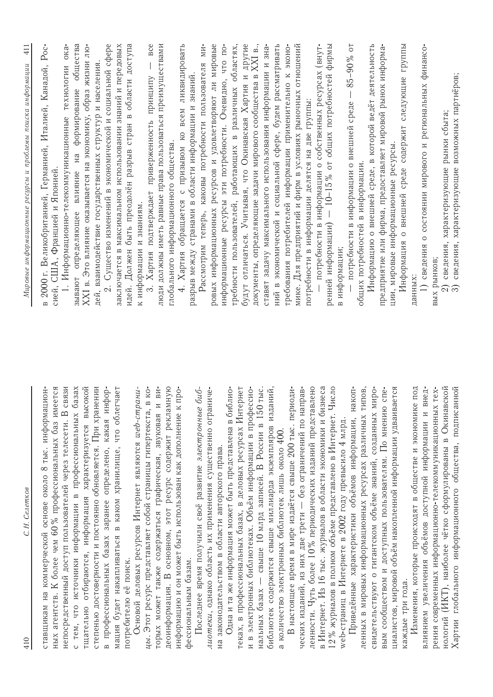| С.Н. Селетков<br>410                                                                                                                         | $\frac{11}{41}$<br>Мировые информационные ресурсы и проблемы поиска информации                                                 |
|----------------------------------------------------------------------------------------------------------------------------------------------|--------------------------------------------------------------------------------------------------------------------------------|
| ных агентств. К более чем 60% профессиональных баз имеется<br>ставщикам на коммерческой основе около 8 тыс. информацион-                     | Poc-<br>в 2000 г. Великобританией, Германией, Италией, Канадой,<br>сией, США, Францией и Японией                               |
| CBR <sub>3</sub> H<br>базах<br>непосредственный доступ пользователей через телесети. В<br>с тем, что источники информации в профессиональных | общества<br>OKa<br>технологии<br>формирование<br>1. Информационно-телекоммуникационные<br>H2<br>влияние<br>зывают определяющее |
| степенью достоверности и постоянно обновляется. При хранении<br>тщательно отбираются, информация характеризуется высокой                     | XXI в. Это влияние оказывается на экономику, образ жизни лю-                                                                   |
| в профессиональных базах заранее определено, какая инфор-                                                                                    | 2. Существо изменений в экономической и социальной сфере<br>дей, взаимодействие государственных структур и населения           |
| мация будет накапливаться в каком хранилище, что облегчает<br>потребителю её поиск.                                                          | заключается в максимальном использовании знаний и передовых<br>идей. Должен быть преодолён разрыв стран в области доступа      |
| Основой деловых ресурсов Интернет являются web-страни-<br>цы. Этот ресурс представляет собой страницы гипертекста, в ко-                     | к информации и знаниям.                                                                                                        |
| и ви-<br>торых может также содержаться графическая, звуковая                                                                                 | BCe<br>люди должны иметь равные права пользоваться преимуществами<br>3. Хартия подтверждает приверженность принципу            |
| деоинформация. В основном, этот ресурс содержит рекламную<br>к про-<br>информацию и он может быть использован как дополнение                 | глобального информационного общества.                                                                                          |
| фессиональным базам.                                                                                                                         | 4. Хартия обращается с призывом ко всем ликвидировать<br>разрыв между странами в области информации и знаний                   |
| Последнее время получили своё развитие электронные биб-                                                                                      | МИ-<br>Рассмотрим теперь, каковы потребности пользователя                                                                      |
| лиотеки, однако область их применения существенно ограниче-<br>на законодательством в области авторского права.                              | ровых информационных ресурсов и удовлетворяют ли мировые                                                                       |
| Одна и та же информация может быть представлена в библио-                                                                                    | информационные ресурсы эти потребности. Очевидно, что по-<br>требности пользователей, работающих в различных областях,         |
| теках, в профессиональных базах, в деловых ресурсах Интернет                                                                                 | будут отличаться. Учитывая, что Окинавская Хартия и другие                                                                     |
| в электронных библиотеках. Объём информации в профессио-<br>нальных базах - свыше 10 млрд записей. В России в 150 тыс.<br>$\overline{z}$     | документы, определяющие задачи мирового сообщества в XXI в.,                                                                   |
| библиотек содержится свыше миллиарда экземпляров изданий,                                                                                    | ний в экономической и социальной сфере, будем рассматривать<br>ставят задачу максимального использования информации и зна-     |
| В настоящее время в мире издаётся свыше 200 тыс. периоди-<br>а количество электронных библиотек лишь около 400.                              | требования потребителей информации применительно к эконо-                                                                      |
| ческих изданий, из них две трети - без ограничений по направ-                                                                                | мике. Для предприятий и фирм в условиях рыночных отношений                                                                     |
| ленности. Чуть более 10% периодических изданий представлено<br>в Интернет. Из 16 тыс. журналов в области экономики и бизнеса                 | потребности в информации о собственных ресурсах (внут-<br>потребности в информации делятся на две группы:                      |
| Число<br>12 % журналов в полном объёме представлено в Интернет.                                                                              | ренней информации) - 10-15% от общих потребностей фирмы                                                                        |
| web-страниц в Интернете в 2002 году превысило 4 млрд.                                                                                        | в информации;                                                                                                                  |
| накоп-<br>типов,<br>ленных в мировых информационных ресурсах различных<br>Приведённые характеристики объёмов информации,                     | потребности в информации о внешней среде - 85-90 % от<br>общих потребностей в информации.                                      |
| миро-<br>свидетельствуют о гигантском объёме знаний, созданных                                                                               | Информацию о внешней среде, в которой ведёт деятельность                                                                       |
| вым сообществом и доступных пользователям. По мнению спе-                                                                                    | предприятие или фирма, предоставляет мировой рынок информа-                                                                    |
| циалистов, мировой объём накопленной информации удваивается<br>каждые три года.                                                              | Информация о внешней среде содержит следующие группы<br>ции, мировые информационные ресурсы.                                   |
| Изменения, которые происходят в обществе и экономике под                                                                                     | данных:                                                                                                                        |
| внед-<br>рения современных информационно-телекоммуникационных тех-<br>влиянием увеличения объёмов доступной информации и                     | 1) сведения о состоянии мирового и региональных финансо-<br>вых рынков;                                                        |
| нологий (ИКТ), наиболее чётко сформулированы в Окинавской                                                                                    | сведения, характеризующие рынки сбыта;                                                                                         |
| Хартии глобального информационного общества, подписанной                                                                                     | сведения, характеризующие возможных партнёров;<br>$\widehat{\infty}$                                                           |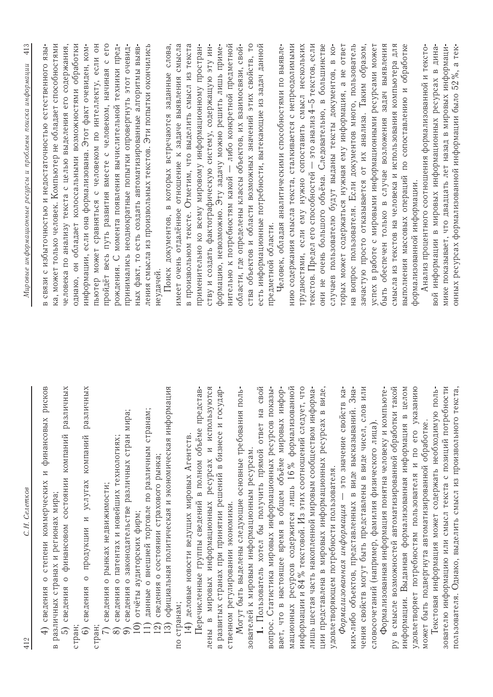| С.Н. Селетков<br>412                                                                                            | 413<br>Мировые информационные ресурсы и проблемы поиска информации                                                             |
|-----------------------------------------------------------------------------------------------------------------|--------------------------------------------------------------------------------------------------------------------------------|
| рисков<br>сведения о степени коммерческих и финансовых<br>в различных странах и регионах мира;<br>$\widehat{+}$ | ка, может только человек. Компьютер не обладает способностями<br>в связи с избыточностью и недостаточностью естественного язы- |
| различных<br>5) сведения о финансовом состоянии компаний                                                        | человека по анализу текста с целью выделения его содержания,                                                                   |
| стран;                                                                                                          | однако, он обладает колоссальными возможностями обработки                                                                      |
| различных<br>о продукции и услугах компаний<br>6) сведения<br>стран;                                            | пьютер может сравняться с человеком по интеллекту, если он<br>информации, если она формализована. Этот факт очевиден, ком-     |
| 7) сведения о рынках недвижимости;                                                                              | пройдёт весь путь развития вместе с человеком, начиная с его                                                                   |
| сведения о патентах и новейших технологиях;<br>$\circledcirc$                                                   | рождения. С момента появления вычислительной техники пред-                                                                     |
| сведения о законодательстве различных стран мира;                                                               | принимались неоднократные попытки опровергнуть этот очевид-                                                                    |
| данные о внешней торговле по различным странам;<br>отчёты аудиторских фирм;<br>$\overline{10}$<br>$\boxed{1}$   | ных факт, то есть создать автоматизированные алгоритмы выяв-<br>ления смысла из произвольных текстов. Эти попытки окончились   |
| сведения о состоянии страхового рынка;<br>12)                                                                   | неудачей.                                                                                                                      |
| официальная политическая и экономическая информация<br>13)                                                      | Поиск документов, в которых встречаются заданные слова,                                                                        |
| по странам;                                                                                                     | имеет очень отдалённое отношение к задаче выявления смысла                                                                     |
| 14) деловые новости ведущих мировых Агентств.                                                                   | в произвольном тексте. Отметим, что выделить смысл из текста                                                                   |
| Перечисленные группы сведений в полном объёме представ-                                                         | применительно ко всему мировому информационному простран-                                                                      |
| лены в мировых информационных ресурсах и используются                                                           | ству и создать фактографическую систему, содержащую эту ин-                                                                    |
| в развитых странах при принятии решений в бизнесе и государ-                                                    | формацию, невозможно. Эту задачу можно решить лишь приме-                                                                      |
| ственном регулировании экономики.                                                                               | нительно к потребностям какой — либо конкретной предметной                                                                     |
| Могут быть выделены следующие основные требования поль-                                                         | области, где определены классы объектов, их взаимосвязи, свой-                                                                 |
| зователей к мировым информационным ресурсам.                                                                    | ства объектов и области возможных значений этих свойств, то                                                                    |
| 1. Пользователь хотел бы получить прямой ответ на свой                                                          | есть информационные потребности, вытекающие из задач данной                                                                    |
| вопрос. Статистика мировых информационных ресурсов показы-                                                      | предметной области.                                                                                                            |
| вает, что в настоящее время в общем объёме мировых инфор-                                                       | Человек, обладая аналитическими способностями по выявле-                                                                       |
| мационных ресурсов содержится лишь 16% формализованной                                                          | нию содержания смысла текста, сталкивается с непреодолимыми                                                                    |
| информации и 84 % текстовой. Из этих соотношений следует, что                                                   | трудностями, если ему нужно сопоставить смысл нескольких                                                                       |
| лишь шестая часть накопленной мировым сообществом информа-                                                      | текстов. Предел его способностей - это анализ 4-5 текстов, если                                                                |
| виде,<br>ции представлена в мировых информационных ресурсах в                                                   | они не очень большого объёма. Следовательно, в большинстве                                                                     |
| Формализованная информация - это значение свойств ка-<br>удовлетворяющем потребности пользователя.              | торых может содержаться нужная ему информация, а не ответ<br>случаев пользователю будут выданы тексты документов, в ко-        |
| 1. Зна-<br>ких-либо объектов, представленных в виде высказываний                                                | на вопрос пользователя. Если документов много, пользователь                                                                    |
| чения свойств могут быть представлены в виде чисел, слов или                                                    | зачастую просто отказывается от их анализа. Таким образом,                                                                     |
| словосочетаний (например, фамилия физического лица).                                                            | успех в работе с мировыми информационными ресурсами может                                                                      |
| Формализованная информация понятна человеку и компьюте-                                                         | случае возложения задач выявления<br>быть обеспечен только в                                                                   |
| такой<br>ру в смысле возможностей автоматизированной обработки                                                  | смысла из текстов на человека и использования компьютера для                                                                   |
| целом<br>информации. Выданная формализованная информация в                                                      | выполнения массовых операций по сопоставлению и обработке                                                                      |
| его указанию<br>удовлетворяет потребностям пользователя и по                                                    | формализованной информации.                                                                                                    |
| Текстовая информация может содержать необходимую поль-<br>может быть подвергнута автоматизированной обработке.  | вой информации в мировых информационных ресурсах в дина-<br>Анализ процентного соотношения формализованной и тексто-           |
| зователю информацию или смысл текста с позиций потребности                                                      | мике показывает, что двадцать лет назад в мировых информаци-                                                                   |
| екста,<br>пользователя. Однако, выделить смысл из произвольного т                                               | онных ресурсах формализованной информации было 52 %, а тек-                                                                    |
|                                                                                                                 |                                                                                                                                |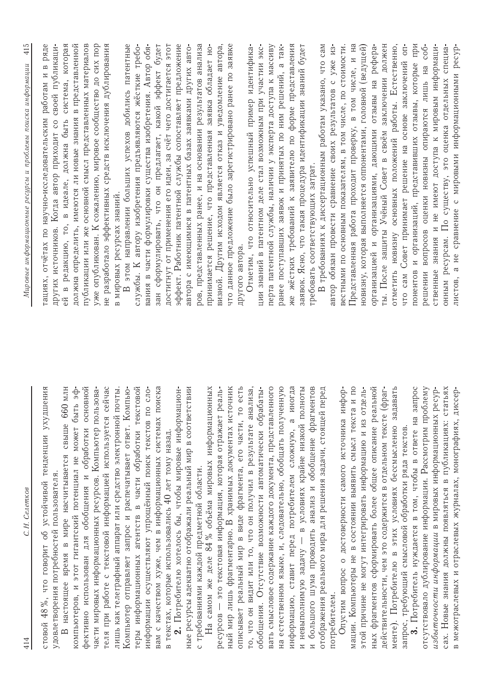| С.Н. Селетков<br>414                                                                                                   | 415<br>Мировые информационные ресурсы и проблемы поиска информации                                                                  |
|------------------------------------------------------------------------------------------------------------------------|-------------------------------------------------------------------------------------------------------------------------------------|
| 48%, что говорит об устойчивой тенденции ухудшения<br>удовлетворения потребностей пользователя.<br>стовой              | ряде<br>других источников. Когда автор приходит со своей публикаци-<br>$H$ B<br>тациях, отчётах по научно-исследовательским работам |
| настоящее время в мире насчитывается свыше 660 млн<br>$\overline{a}$                                                   | ей в редакцию, то, в идеале, должна быть система, которая                                                                           |
| компьютеров, и этот гигантский потенциал не может быть эф-                                                             | должна определить, имеются ли новые знания в представленной                                                                         |
| обработки<br>фективно использован для обобщения и                                                                      | публикации или же основной смысл представленных материалов<br>основной                                                              |
| части мировых информационных ресурсов. Компьютер пользова-<br>теля при работе с текстовой информацией используется     | уже опубликован. К сожалению, мировое сообщество до сих пор<br>не разработало эффективных средств исключения дублирования<br>сейчас |
| лишь как телеграфный аппарат или средство электронной                                                                  | в мировых ресурсах знаний.<br>почты.                                                                                                |
| Компьютер отправляет запрос и распечатывает ответ. Компью-                                                             | этом направлении больших успехов добились патентные<br>$\overline{a}$                                                               |
| теры информационных агентств в части обработки текстовой                                                               | службы. К автору изобретения предъявляются жёсткие требо-                                                                           |
| вам с качеством хуже, чем в информационных системах поиска<br>информации осуществляют упрощённый поиск текстов по сло- | зан сформулировать, что он предлагает, какой эффект будет<br>вания в части формулировки существа изобретения. Автор обя-            |
| в текстах, которые использовались 40 лет тому назад.                                                                   | достигнут от применения его идеи, за счёт чего достигается этот                                                                     |
| 2. Потребителю хотелось бы, чтобы мировые информацион-                                                                 | эффект. Работник патентной службы сопоставляет предложение                                                                          |
| ные ресурсы адекватно отображали реальный мир в соответствии                                                           | автора с имеющимися в патентных базах заявками других авто-                                                                         |
| с требованиями каждой предметной области.                                                                              | ров, представленных ранее, и на основании результатов анализа                                                                       |
| На самом же деле 84 % объёма мировых информационных                                                                    | принимается решение, что представленная заявка обладает но-                                                                         |
| ресурсов - это текстовая информация, которая отражает                                                                  | визной. Другим исходом является отказ и уведомление автора,<br>реаль-                                                               |
| ный мир лишь фрагментарно. В хранимых документах источник                                                              | что данное предложение было зарегистрировано ранее по заявке                                                                        |
| описывает реальный мир в виде фрагмента, его части, то есть                                                            | другого автора.                                                                                                                     |
| то, что он видит или то, что он получил в результате анализа,                                                          | Отметим, что относительно успешный пример идентифика-                                                                               |
| обобщения. Отсутствие возможности автоматически обрабаты-                                                              | ции знаний в патентном деле стал возможным при участии экс-                                                                         |
| вать смысловое содержание каждого документа, представленного                                                           | перта патентной службы, наличии у эксперта доступа к массиву                                                                        |
| на естественном языке, и, следовательно, обобщать полученную                                                           | ранее поступавших заявок и принятых по ним решений, а так-                                                                          |
| $\infty$<br>информацию, ставит перед потребителем сложную,                                                             | же жёстких требований к заявителю по форме представления<br>иногда                                                                  |
| и большого шума проводить анализ и обобщение фрагментов<br>- в условиях крайне низкой полноты<br>и невыполнимую задачу | заявок. Ясно, что такая процедура идентификации знаний будет<br>требовать соответствующих затрат.                                   |
| отображения реального мира для решения задачи, стоящей                                                                 | В требованиях к диссертационным работам указано, что сам<br>перед                                                                   |
| потребителем.                                                                                                          | автор обязан провести сравнение своих результатов с уже из-                                                                         |
| Опустим вопрос о достоверности самого источника инфор-                                                                 | вестными по основным показателям, в том числе, по стоимости                                                                         |
| мации. Компьютеры не в состоянии выявить смысл текста и по                                                             | Представленная работа проходит проверку, в том числе, и на                                                                          |
| этой причине не могут интегрировать информацию и из отдель-                                                            | новизну, которая выполняется оппонентами, головной (ведущей)                                                                        |
| ных фрагментов сформировать более общее описание реальной                                                              | отзывы на рефера-<br>организацией и организациями, дающими                                                                          |
| действительности, чем это содержится в отдельном тексте                                                                | ты. После защиты Учёный Совет в своём заключении должен<br>(фраг-                                                                   |
| менте). Потребителю в этих условиях бессмысленно задавать                                                              | новизну основных положений работы. Естественно,<br><b>ОТМЕТИТЬ</b>                                                                  |
| запрос, требующий смысловой обработки ряда текстов.                                                                    | $-110$<br>что сам Совет принимает решение на основе заключений                                                                      |
| отсутствовало дублирование информации. Рассмотрим проблему<br>ответе на<br>3. Потребитель нуждается в том, чтобы в     | понентов и организаций, представивших отзывы, которые при<br>решении вопросов оценки новизны опираются лишь на соб-<br>запрос       |
| избыточности информации в мировых информационных                                                                       | ственные знания и не имеют доступа к мировым информаци-<br>pecyp-                                                                   |
| знания должны появляться в публикациях: статьях<br>Новые                                                               | онным ресурсам. По существу, это оценка отдельных специа-                                                                           |
| в межотраслевых и отраслевых журналах, монографиях, диссер-                                                            | а не сравнение с мировыми информационными ресур-<br>листов,                                                                         |
|                                                                                                                        |                                                                                                                                     |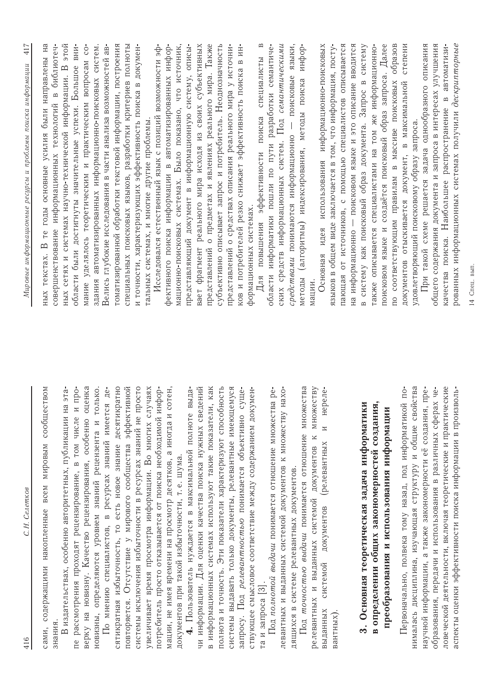| C.H. Cenemkoe<br>416                                                                                                              | L<br>$\ddot{+}$<br>Мировые информационные ресурсы и проблемы поиска информации                                                                       |
|-----------------------------------------------------------------------------------------------------------------------------------|------------------------------------------------------------------------------------------------------------------------------------------------------|
| сообществом<br>всем мировым<br>содержащими накопленные<br>знания<br>сами,                                                         | Ξ<br>библиотеч-<br>те годы основные усилия были направлены<br>совершенствование информационных технологий в<br>$\mathbf{\Omega}$<br>текстах.<br>HblX |
| вте вн<br>В издательствах, особенно авторитетных, публикации                                                                      | ных сетях и системах научно-технической информации. В этой                                                                                           |
| и про-<br>пе рассмотрения проходят рецензирование, в том числе                                                                    | BH <sub>H</sub> -<br>Большое<br>области были достигнуты значительные успехи.                                                                         |
| оценка<br>верку на новизну. Качество рецензирования, особенно                                                                     | $\overline{c}$<br>мание уделялось теоретическим и практическим вопросам                                                                              |
| новизны, определяются уровнем знаний рецензента и только.                                                                         | здания автоматизированных информационно-поисковых систем.<br>Велись глубокие исследования в части анализа возможностей ав-                           |
| десятикратно<br>По мнению специалистов, в ресурсах знаний имеется де-<br>знание<br>сятикратная избыточность, то есть новое        | томатизированной обработки текстовой информации, построения                                                                                          |
| эффективной<br>повторяется. Отсутствие у мирового сообщества                                                                      | специальных поисковых языков, разработки критериев полноты                                                                                           |
| системы исключения избыточности в ресурсах знаний не просто                                                                       | и точности, характеризующих эффективность поиска в докумен-                                                                                          |
| увеличивает время просмотра информации. Во многих случаях                                                                         | Исследовался естественный язык с позиций возможности эф-<br>тальных системах, и многие другие проблемы                                               |
| сотен,<br>потребитель просто отказывается от поиска необходимой инфор-<br>мации, не имея времени на просмотр десятков, а иногда и | фективного поиска информации в автоматизированных инфор-                                                                                             |
| документов при такой избыточности, т.е. шума.                                                                                     | мационно-поисковых системах. Было показано, что источник,                                                                                            |
| выда-<br>Пользователь нуждается в максимальной полноте                                                                            | представляющий документ в информационную систему, описы-                                                                                             |
| чи информации. Для оценки качества поиска нужных сведений                                                                         | вает фрагмент реального мира исходя из своих субъективных                                                                                            |
| в информационных системах используют такие показатели, как                                                                        | представлений о предметах и явлениях реального мира. Также                                                                                           |
| полнота и точность. Эти показатели характеризуют способность                                                                      | субъективно описывает запрос и потребитель. Неоднозначность                                                                                          |
| системы выдавать только документы, релевантные имеющемуся                                                                         | представлений о средствах описания реального мира у источни-                                                                                         |
| суще-<br>запросу. Под релевантностью понимается объективно                                                                        | ков и потребителей резко снижает эффективность поиска в ин-                                                                                          |
| ствующее смысловое соответствие между содержанием докумен-<br>та и запроса [3].                                                   | $\mathbf{u}$<br>специалисты<br>Для повышения эффективности поиска<br>формационных системах.                                                          |
| Под полнотой выдачи понимается отношение множества ре-                                                                            | семантиче-<br>области информатики пошли по пути разработки                                                                                           |
| нахо-<br>левантных и выданных системой документов к множеству                                                                     | ских средств информационных систем. Под семантическими                                                                                               |
| дящихся в системе релевантных документов.                                                                                         | поисковые языки,<br>средствами понимаются информационно -                                                                                            |
| кества<br>Под точностью выдачи понимается отношение мнох                                                                          | инфор-<br>методы (алгоритмы) индексирования, методы поиска                                                                                           |
| множеству<br>документов к<br>релевантных и выданных системой                                                                      | мации.                                                                                                                                               |
| нереле-<br>$\overline{z}$<br>(релевантных<br>документов<br>системой<br>выданных                                                   | использования информационно-поисковых<br>Основная идея                                                                                               |
| вантных).                                                                                                                         | описывается<br>языков в общем виде заключается в том, что информация, посту-<br>пающая от источников, с помощью специалистов                         |
|                                                                                                                                   | на информационно - поисковом языке и это описание вводится                                                                                           |
| 3. Основная теорегическая задача информатики                                                                                      | систему<br>в систему как поисковый образ документа. Запрос в                                                                                         |
| в определении общих закономерностей создания,                                                                                     | также описывается специалистами на том же информационно-                                                                                             |
| преобразования и использования информации                                                                                         | создаётся поисковый образ запроса. Далее<br>образов<br>по соответствующим правилам в массиве поисковых<br>поисковом языке и                          |
| Первоначально, полвека тому назад, под информатикой по-                                                                           | степени<br>отыскивается документ, в максимальной<br>документов                                                                                       |
| нималась дисциплина, изучающая структуру и общие свойства                                                                         | удовлетворяющий поисковому образу запроса                                                                                                            |
| научной информации, а также закономерности её создания, пре-<br>образования, передачи и использования в различных сферах че-      | При такой схеме решается задача однообразного описания<br>общего содержания документа и запроса в интересах улучшения                                |
| ловеческой деятельности, включая теоретические и практические                                                                     | автоматизи-<br>$\mathbf{a}$<br>качества поиска. Наибольшее распространение                                                                           |
| аспекты оценки эффективности поиска информации в произволь-                                                                       | рованных информационных системах получили дескрипторные                                                                                              |
|                                                                                                                                   | 14 Спец. вып.                                                                                                                                        |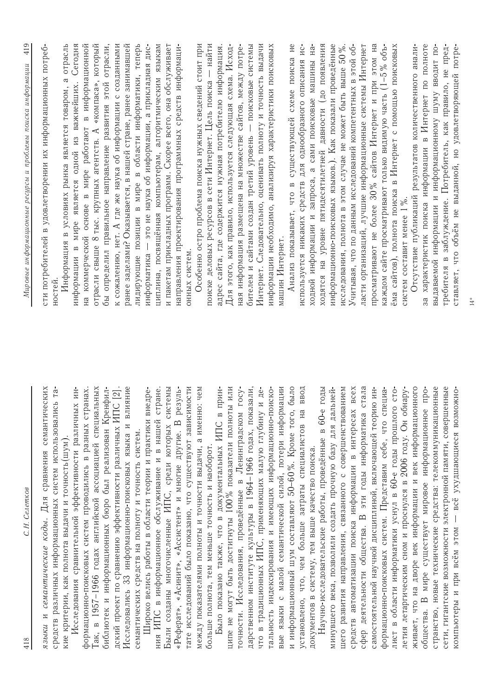| $14*$                                                                                                                        |                                                                                                                                  |
|------------------------------------------------------------------------------------------------------------------------------|----------------------------------------------------------------------------------------------------------------------------------|
| заблуждение. Потребитель, как правило, не пред-<br>ставляет, что объём не выданной, но удовлетворяющей потре-<br>требителя в | сети, гигантские возможности электронной памяти, совершенные<br>компьютеры и при всём этом - всё ухудшающиеся возможно-          |
| за характеристик поиска информации в Интернет по полноте<br>выдаваемой информации и информационному шуму вводит по-          | странство, новые технические средства: телекоммуникационные<br>общества. В мире существует мировое информационное про-           |
| Отсутствие публикаций результатов количественного анали-<br>систем составит менее 1%.                                        | живает, что на дворе век информации и век информационного<br>летия летаргическим сном и проснулся в 2006 году. Он обнару-        |
| ёма сайтов), полнота поиска в Интернет с помощью поисковых                                                                   | лист в области информатики уснул в 60-е годы прошлого сто-                                                                       |
| просматривают не более 30% сайтов Интернет и при этом на<br>каждом сайте просматривают только видимую часть (1-5% объ-       | формационно-поисковых систем. Представим себе, что специа-<br>самостоятельной научной дисциплиной, включающей теорию ин-         |
| ласти организаций, лучшие информационные системы Интернет                                                                    | стала<br>сфер деятельности общества. В эти годы информатика                                                                      |
| Учитывая, что по данным исследований компетентных в этой об-                                                                 | средств автоматизации поиска информации в интересах всех                                                                         |
| исследования, полнота в этом случае не может быть выше 50%.                                                                  | развития направления, связанного с совершенствованием<br><b>THELO</b>                                                            |
| ходятся на уровне пятидесятилетней давности (до появления<br>информационно-поисковых языков.). Как показали проведённые      | Научно-исследовательские работы, проведённые в 60-е годы<br>минувшего века, позволили создать прочную базу для дальней           |
| $H2-$<br>ходной информации и запроса, а сами поисковые машины                                                                | документов в систему, тем выше качество поиска.                                                                                  |
| используется никаких средств для однообразного описания ис-                                                                  | установлено, что, чем больше затраты специалистов на ввод                                                                        |
| Анализ показывает, что в существующей схеме поиска не<br>машин Интернет.                                                     | языки с малой семантической силой, потери информации<br>и информационный шум составляют 50-60%. Кроме того, было<br><b>B</b> ble |
| информации необходимо, анализируя характеристики поисковых                                                                   | тальность индексирования и имеющих информационно-поиско-                                                                         |
| Интернет. Следовательно, оценивать полноту и точность выдачи                                                                 | и де-<br>что в традиционных ИПС, применяющих малую глубину                                                                       |
| бителем и сайтами создан третий уровень - поисковые системы                                                                  | дарственном институте культуры в 1964-1966 годах, показали,                                                                      |
| Для этого, как правило, используется следующая схема. Исход-<br>ная информация размещена на множестве сайтов, между потре-   | ципе не могут быть достигнуты 100% показатели полноты или<br>$\text{C}$<br>точности. Исследования, проведённые в Ленинградском   |
| адрес сайта, где содержится нужная потребителю информация.                                                                   | Было показано также, что в документальных ИПС в прин-                                                                            |
| поиске деловых ресурсов в сети Интернет. Цель поиска - найти                                                                 | больше полнота, тем меньше точность и наоборот.                                                                                  |
| Особенно остро проблема поиска нужных сведений стоит при                                                                     | между показателями полноты и точности выдачи, а именно: чем                                                                      |
| направления проектирования программных средств информаци-<br>онных систем.                                                   | тате исследований было показано, что существуют зависимости<br>«Реферат», «Асинит», «Ассистент» и многие другие. В резуль-       |
| и пакетам прикладных программ. Скорее всего, она обслуживает                                                                 | Были созданы многочисленные ИПС, среди которых системы                                                                           |
| циплина, посвящённая компьютерам, алгоритмическим языкам                                                                     | ния ИПС в информационное обслуживание и в нашей стране                                                                           |
| лидирующие позиции в мире в области информатики, теперь<br>информатика - это не наука об информации, а прикладная дис-       | недре-<br>Широко велись работы в области теории и практики в<br>семантических средств на полноту и точность систем.              |
| ранее заделами? Оказывается, в нашей стране, ранее занимавшей                                                                | Исследовались 33 информационно-поисковых языка и влияние                                                                         |
| отрасли,<br>к сожалению, нет. А где же наука об информации с созданными<br>бы определил правильное направление развития этой | библиотек и информационных бюро был реализован Кренфил-<br>дский проект по сравнению эффективности различных ИПС [2]             |
| «компаса», который<br>отрасли свыше 8 тыс. крупных агентств. А                                                               | Гак, в 1957–1966 годах английской ассоциацией специальных                                                                        |
| коммерческой основе в мире работают в информационной<br>Нã                                                                   | формационно-поисковых систем проводились в разных странах                                                                        |
| Сегодня<br>Информация в условиях рынка является товаром, а отрасль<br>информации в мире является одной из важнейших.         | Исследования сравнительной эффективности различных ин-<br>кие критерии, как полнота выдачи и точность (шум)                      |
| сти потребителей в удовлетворении их информационных потреб-<br>ностей                                                        | семантических<br>средств различных информационных систем использовались та-<br>языки и семантические коды. Для сравнения         |
| Мировые информационные ресурсы и проблемы поиска информации                                                                  | С.Н. Селетков<br>418                                                                                                             |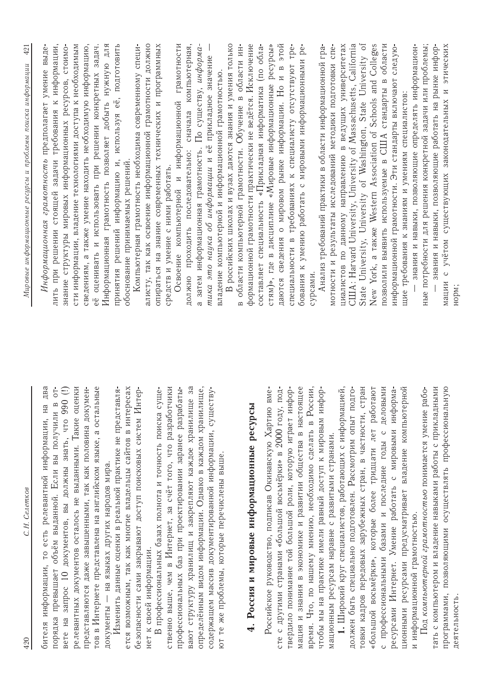| С.Н. Селетков<br>420                                                                                                                                          | 42<br>Мировые информационные ресурсы и проблемы поиска информации                                                               |
|---------------------------------------------------------------------------------------------------------------------------------------------------------------|---------------------------------------------------------------------------------------------------------------------------------|
| два<br>$\overline{C}$<br>$\mathbf{a}$<br>Hа<br>получили<br>есть релевантной информации,<br>порядка превышает объём выданной. Если вы<br>бителя информации, то | задачи требования к информации,<br>Информационная грамотность предполагает умение выде-<br>лить при решении стоящей             |
| релевантных документов осталось не выданными. Такие оценки<br>$(1)$ 066 orh<br>запрос 10 документов, вы должны знать,<br>Bere Ha                              | сти информации, владение технологиями доступа к необходимым<br>знание структуры мировых информационных ресурсов, стоимо-        |
| тов в Интернете представлена на английском языке, а остальные<br>представляются даже завышенными, так как половина докумен-                                   | сведениям, а также умение находить необходимую информацию,<br>оценивать и использовать при решении конкретных задач.<br>.<br>eë |
| документы — на языках других народов мира.                                                                                                                    | ДЛЯ<br>Информационная грамотность позволяет добыть нужную                                                                       |
| ется возможным, так как многие владельцы сайтов в интересах<br>Изменить данные оценки в реальной практике не представля-                                      | принятия решений информацию и, используя её, подготовить<br>обоснование принимаемых решений.                                    |
| безопасности сами закрывают доступ поисковых систем Интер-                                                                                                    | Компьютерная грамотность необходима современному специ-                                                                         |
| В профессиональных базах полнота и точность поиска<br>нет к своей информации.                                                                                 | алисту, так как освоение информационной грамотности должно<br>опираться на знание современных технических и программных         |
| ственно выше, чем в Интернет, за счёт того, что разработчики<br>суще-                                                                                         | средств и умение с ними работать.                                                                                               |
| профессиональных баз при проектировании заранее разрабаты-                                                                                                    | Освоение компьютерной и информационной грамотности                                                                              |
| вают структуру хранилищ и закрепляют каждое хранилище за<br>определённым видом информации. Однако в каждом хранилище,                                         | сначала компьютерная,<br>а затем информационная грамотность. По существу, информа<br>должно проходить последовательно:          |
| содержащем массив документированной информации, существу-                                                                                                     | тика это наука об информации и её прикладное значение                                                                           |
| ют те же проблемы, которые перечислены выше.                                                                                                                  | российских школах и вузах даются знания и умения только<br>владение компьютерной и информационной грамотностью.                 |
|                                                                                                                                                               | области ин-<br>в области компьютерной грамотности. Обучение в                                                                   |
| 4. Россия и мировые информационные ресурсы                                                                                                                    | формационной грамотности практически не ведётся. Исключение<br>составляет специальность «Прикладная информатика (по обла-       |
| сте с другими странами «большой восьмёрки» в 2000 году, под-<br>Российское руководство, подписав Окинавскую Хартию вме-                                       | стям)», где в дисциплине «Мировые информационные ресурсы»                                                                       |
| твердило понимание той большой роли, которую играет инфор-                                                                                                    | этой<br>специальности в требованиях к специалисту отсутствуют тре-<br>даются сведения о мировом рынке информации. Но и в        |
| мация и знания в экономике и развитии общества в настоящее                                                                                                    | бования к умению работать с мировыми информационными ре-                                                                        |
| время. Что, по нашему мнению, необходимо сделать в России,                                                                                                    | сурсами.                                                                                                                        |
| чтобы мы на практике имели равный доступ к мировым инфор-<br>мационным ресурсам наравне с развитыми странами                                                  | Анализ требований практики в области информационной гра-<br>мотности и результаты исследований методики подготовки спе-         |
| 1. Широкий круг специалистов, работающих с информацией,                                                                                                       | циалистов по данному направлению в ведущих университетах                                                                        |
| подго-<br>должен быть специально подготовлен. Рассмотрим опыт                                                                                                 | CIIIA: Harvard University, University of Massachusetts, California                                                              |
| стран<br>товки кадров передовых зарубежных стран, в частности,                                                                                                | State University, University of Washington, State University of                                                                 |
| «большой восьмёрки», которые более тридцати лет работают<br>базами и последние годы с<br>с профессиональными                                                  | New York, a rakxe Western Association of Schools and Colleges<br>выявить используемые в США стандарты в                         |
| деловыми<br>ресурсами Интернет. Умение работать с мировыми информа-                                                                                           | области<br>информационной грамотности. Эти стандарты включают следую-<br>ПОЗВОЛИЛИ                                              |
| ционными ресурсами предусматривает владение компьютерной                                                                                                      | щие требования к знаниям и умениям специалистов:                                                                                |
| и информационной грамотностью.                                                                                                                                | знания и навыки, позволяющие определять информацион-                                                                            |
| тать с компьютером и владение навыками работы с прикладными<br>Под компьютерной грамотностью понимается умение рабо-                                          | задачи или проблемы;<br>знания и навыки, позволяющие работать на рынке инфор-<br>ные потребности для решения конкретной         |
| программами, позволяющими осуществлять профессиональную                                                                                                       | мации с учётом существующих законодательных и этических                                                                         |
| деятельность                                                                                                                                                  | норм;                                                                                                                           |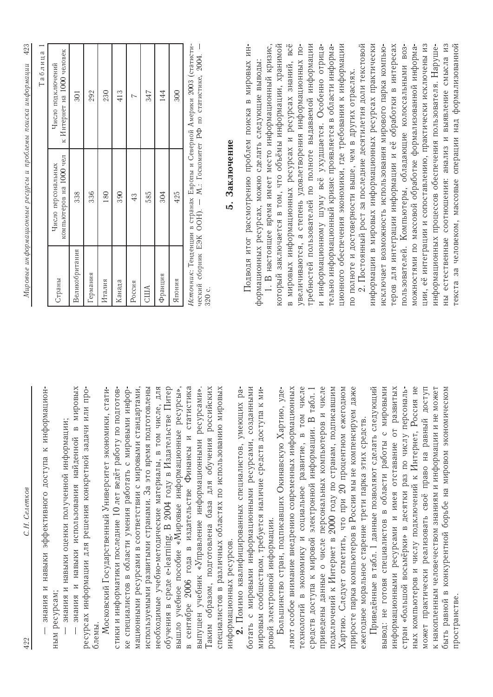С.Н. Селетков

знания и навыки эффективного доступа к информационным ресурсам;  $\overline{1}$ 

- знания и навыки оценки полученной информации;

- знания и навыки использования найденной в мировых ресурсах информации для решения конкретной задачи или проблемы.

необходимые учебно-методические материалы, в том числе, для в сентябре 2006 года в издательстве Финансы и статистика Таким образом, подготовлена база для обучения российских Московский Государственный Университет экономики, статистики и информатики последние 10 лет ведёт работу по подготовке специалистов в области умения работать с мировыми информационными ресурсами в соответствии с мировыми стандартами, используемыми развитыми странами. За это время подготовлены обучения в среде e-learning. В 2004 году в Издательстве Питер вышло учебное пособие «Мировые информационные ресурсы», выпущен учебник «Управление информационными ресурсами». специалистов в различных областях по использованию мировых информационных ресурсов.

ботать с мировыми информационными ресурсами, созданными мировым сообществом, требуется наличие средств доступа к ми-2. Помимо квалифицированных специалистов, умеющих раровой электронной информации.

подключений к Интернет в 2000 году по странам, подписавшим технологий в экономику и социальное развитие, в том числе приведены данные о числе персональных компьютеров и числе Хартию. Следует отметить, что при 20 процентном ежегодном приросте парка компьютеров в России мы не компенсируем даже Большинство стран, подписавших Окинавскую Хартию, уделяют особое внимание внедрению современных информационных средств доступа к мировой электронной информации. В табл. 1 ежегодное моральное старение трети парка этих средств.

Приведённые в табл. 1 данные позволяют сделать следующий может практически реализовать своё право на равный доступ к накопленным человечеством знаниям и информации и не может вывод: не готовя специалистов в области работы с мировыми ных компьютеров и числу подключений к Интернет, Россия не быть равной в конкурентной борьбе на мировом экономическом информационными ресурсами и имея отставание от развитых стран «большой восьмёрки» в десятки раз по числу персональпространстве

423 Мировые информационные ресурсы и проблемы поиска информации

 $\epsilon$ 

|                |                                               | I AUJINIA I                                     |
|----------------|-----------------------------------------------|-------------------------------------------------|
| Страны         | компьютеров на 1000 чел<br>Число персональных | к Интернет на 1000 человек<br>Число подключений |
| Великобритания | 338                                           | 301                                             |
| Германия       | 336                                           | 292                                             |
| Италия         | 180                                           | 230                                             |
| Канада         | 390                                           | 413                                             |
| Россия         | 43                                            |                                                 |
| CIIIA          | 585                                           | 347                                             |
| Франция        | 304                                           | 144                                             |
| Япония         | 425                                           | 300                                             |
| Ė<br>II        |                                               |                                                 |

*Источник*: Іенденции в странах Европы и Севернои Америки 2003 (статисти-<br>ческий сборник ЕЭК ООН). — М.: Госкомитет РФ по статистике, 2004. — 320 с.

## 5. Заключение

Подводя итог рассмотрению проблем поиска в мировых информационных ресурсах, можно сделать следующие выводы:

в мировых информационных ресурсах и ресурсах знаний, всё требностей пользователей по полноте выдаваемой информации ционного обеспечения экономики, где требования к информации который заключается в том, что объёмы информации, хранимой увеличиваются, а степень удовлетворения информационных пои информационному шуму всё ухудшается. Особенно отрица-1. В настоящее время имеет место информационный кризис, гельно информационный кризис проявляется в области информапо полноте и достоверности выше, чем в других отраслях.

2. Постоянный рост за последние десятилетия доли текстовой информации в мировых информационных ресурсах практически ции, её интеграции и сопоставлению, практически исключены из ны естественные соотношения: анализ и выявление смысла из гекста за человеком, массовые операции над формализованной исключает возможность использования мирового парка компьютеров для интеграции информации и её обработки в интересах можностями по массовой обработке формализованной информаинформационных процессов обеспечения пользователя. Нарушепользователей. Компьютеры, обладающие колоссальными воз-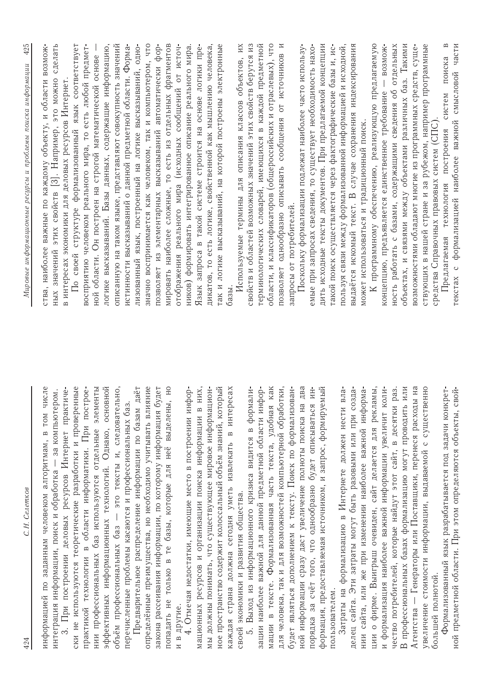| C.H. Cenemkoe<br>424                                                                                                      | 425<br>Мировые информационные ресурсы и проблемы поиска информации                                                        |
|---------------------------------------------------------------------------------------------------------------------------|---------------------------------------------------------------------------------------------------------------------------|
| информацией по заданным человеком алгоритмам, в том числе                                                                 | ства, наиболее важные по каждому объекту, и области возмож-                                                               |
| за компьютером.<br>интеграция информации, поиск и обработка                                                               | сделать<br>этих свойств [3]. Например, это можно<br>значений<br>HblX                                                      |
| ски не используются теоретические разработки и проверенные<br>При построении деловых ресурсов Интернет практиче-          | По своей структуре формализованный язык соответствует<br>в интересах экономики для деловых ресурсов Интернет              |
| практикой технологии в области информатики. При построе-                                                                  | восприятию человеком реального мира, то есть любой предмет-                                                               |
| элементы<br>нии профессиональных баз используются отдельные                                                               | ной области. Он построен на строгой математической основе                                                                 |
| яон.<br>эффективных информационных технологий. Однако, основ                                                              | логике высказываний. Базы данных, содержащие информацию,                                                                  |
| это тексты и, следовательно,<br>объём профессиональных баз -                                                              | описанную на таком языке, представляют совокупность значений                                                              |
| перечисленные проблемы касаются и профессиональных баз.                                                                   | истинности высказываний о данной предметной области. Форма-                                                               |
| Предварительное распределение информации по базам даёт<br>іние<br>определённые преимущества, но необходимо учитывать влия | лизованный язык, построенный на логике высказываний, одно-<br>значно воспринимается как человеком, так и компьютером, что |
| ллет<br>закона рассеивания информации, по которому информация бу                                                          | позволяет из элементарных высказываний автоматически фор-                                                                 |
| E<br>попадать не только в те базы, которые для неё выделены,                                                              | мировать наиболее сложные, то есть из отдельных фрагментов                                                                |
| и в другие.                                                                                                               | отображения реального мира (исходных сообщений от источ-                                                                  |
| 4. Отмечая недостатки, имеющие место в построении инфор-                                                                  | ников) формировать интегрированное описание реального мира.                                                               |
| мационных ресурсов и организации поиска информации в них,                                                                 | Язык запроса в такой системе строится на основе логики пре-                                                               |
| мы должны понимать, что существующее мировое информацион-                                                                 | дикатов, то есть логике, свойственной как мышлению человека,                                                              |
| ное пространство содержит колоссальный объём знаний, который                                                              | так и логике высказываний, на которой построены электронные                                                               |
| cax<br>в интере<br>каждая страна должна сегодня уметь извлекать                                                           | базы.                                                                                                                     |
| своей экономики и развития общества.                                                                                      | Используемые термины для описания классов объектов, их                                                                    |
| формали-<br>Выход из информационного кризиса видится в<br>i.<br>Lo                                                        | свойств и областей возможных значений этих свойств берутся из                                                             |
| зации наиболее важной для данной предметной области инфор-                                                                | терминологических словарей, имеющихся в каждой предметной                                                                 |
| <b>KAK</b><br>мации в тексте. Формализованная часть текста, удобная                                                       | области, и классификаторов (общероссийских и отраслевых), что                                                             |
| для человека, так и для возможностей компьютерной обработки,                                                              | позволяет однообразно описывать сообщения от источников и                                                                 |
| будет являться дополнением к тексту. Поиск по формализован-                                                               | запросы от потребителей.                                                                                                  |
| два<br>ной информации сразу даст увеличение полноты поиска на                                                             | Поскольку формализации подлежат наиболее часто использу-                                                                  |
| ИН-<br>порядка за счёт того, что однообразно будет описываться                                                            | емые при запросах сведения, то существует необходимость нахо-                                                             |
| формация, предоставляемая источником, и запрос, формируемый                                                               | дить исходные тексты документов. При предлагаемой концепции                                                               |
| пользователем.                                                                                                            | такой поиск осуществляется через фактографические базы и, ис-                                                             |
| Затраты на формализацию в Интернете должен нести вла-                                                                     | пользуя связи между формализованной информацией и исходной,                                                               |
| делец сайта. Эти затраты могут быть разовыми или при созда-                                                               | выдаётся искомый текст. В случае сохранения индексирования                                                                |
| нии сайта, или же при изменении наиболее важной информа-                                                                  | может использоваться и традиционный поиск.                                                                                |
| рекламы,<br>ции о фирме. Выигрыш очевиден, сайт делается для                                                              | К программному обеспечению, реализующую предлагаемую                                                                      |
| и формализация наиболее важной информации увеличит коли-                                                                  | BO3MOX-<br>концепцию, предъявляется единственное требование                                                               |
| чество потребителей, которые найдут этот сайт, в десятки раз.                                                             | ность работать с базами, содержащими сведения об отдельных                                                                |
| ИЛИ<br>В профессиональных базах формализацию могут проводить                                                              | объектах, и связями между объектами различных баз. Такими                                                                 |
| Генераторы или Поставщики, перенеся расходы на<br>Агентства -                                                             | возможностями обладают многие из программных средств, суще-                                                               |
| <b>HHO</b><br>увеличение стоимости информации, выдаваемой с существе                                                      | ствующих в нашей стране и за рубежом, например программные                                                                |
| большей полнотой.                                                                                                         | средства Справочных правовых систем (СПС)                                                                                 |
| Формализованный язык разрабатывается под задачи конкрет-                                                                  | $\mathbf{\underline{\square}}$<br>поиска<br>систем<br>Предлагаемая технология построения                                  |
| ной предметной области. При этом определяются объекты, свой-                                                              | формализацией наиболее важной смысловой части<br>текстах с                                                                |